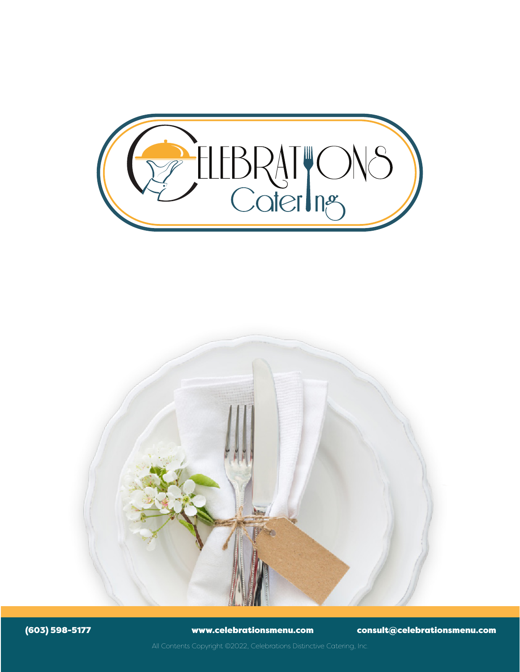



(603) 598-5177 www.celebrationsmenu.com consult@celebrationsmenu.com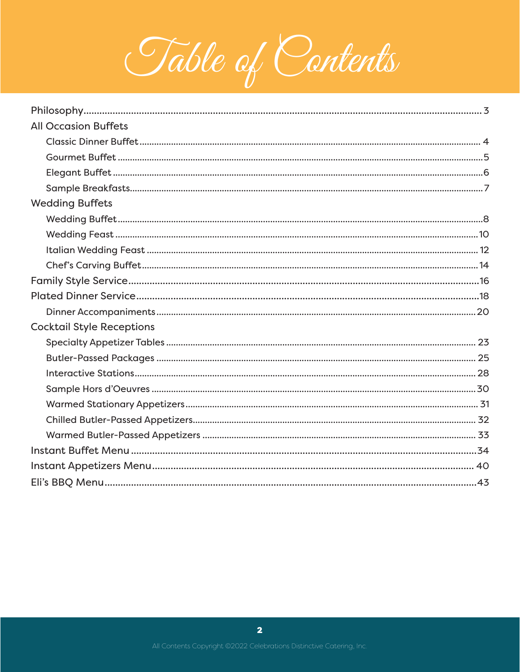

| <b>All Occasion Buffets</b>      |  |
|----------------------------------|--|
|                                  |  |
|                                  |  |
|                                  |  |
|                                  |  |
| <b>Wedding Buffets</b>           |  |
|                                  |  |
|                                  |  |
|                                  |  |
|                                  |  |
|                                  |  |
|                                  |  |
|                                  |  |
| <b>Cocktail Style Receptions</b> |  |
|                                  |  |
|                                  |  |
|                                  |  |
|                                  |  |
|                                  |  |
|                                  |  |
|                                  |  |
|                                  |  |
|                                  |  |
|                                  |  |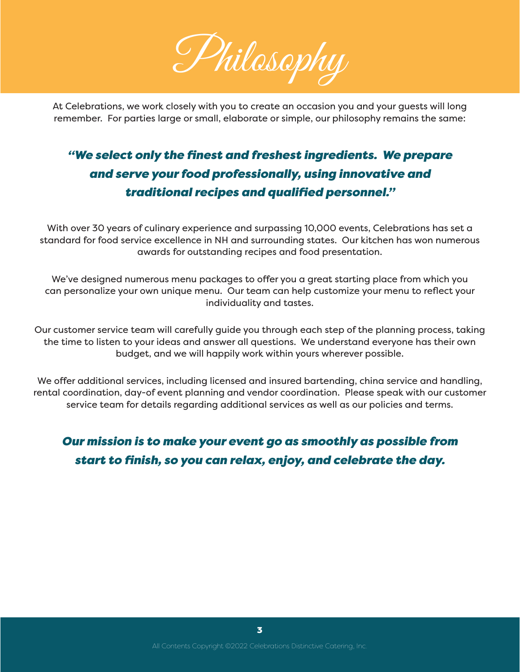

At Celebrations, we work closely with you to create an occasion you and your guests will long remember. For parties large or small, elaborate or simple, our philosophy remains the same:

## *"We select only the finest and freshest ingredients. We prepare and serve your food professionally, using innovative and traditional recipes and qualified personnel."*

With over 30 years of culinary experience and surpassing 10,000 events, Celebrations has set a standard for food service excellence in NH and surrounding states. Our kitchen has won numerous awards for outstanding recipes and food presentation.

We've designed numerous menu packages to offer you a great starting place from which you can personalize your own unique menu. Our team can help customize your menu to reflect your individuality and tastes.

Our customer service team will carefully guide you through each step of the planning process, taking the time to listen to your ideas and answer all questions. We understand everyone has their own budget, and we will happily work within yours wherever possible.

We offer additional services, including licensed and insured bartending, china service and handling, rental coordination, day-of event planning and vendor coordination. Please speak with our customer service team for details regarding additional services as well as our policies and terms.

## *Our mission is to make your event go as smoothly as possible from start to finish, so you can relax, enjoy, and celebrate the day.*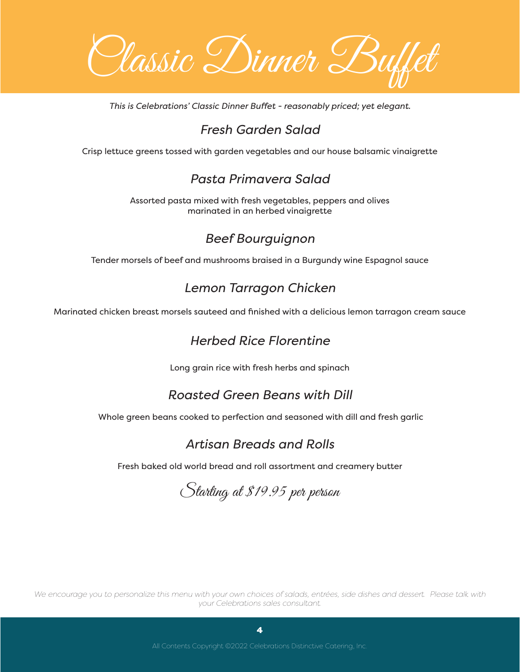Classic Dinner Buffet

*This is Celebrations' Classic Dinner Buffet - reasonably priced; yet elegant.*

## *Fresh Garden Salad*

Crisp lettuce greens tossed with garden vegetables and our house balsamic vinaigrette

## *Pasta Primavera Salad*

Assorted pasta mixed with fresh vegetables, peppers and olives marinated in an herbed vinaigrette

## *Beef Bourguignon*

Tender morsels of beef and mushrooms braised in a Burgundy wine Espagnol sauce

## *Lemon Tarragon Chicken*

Marinated chicken breast morsels sauteed and finished with a delicious lemon tarragon cream sauce

## *Herbed Rice Florentine*

Long grain rice with fresh herbs and spinach

## *Roasted Green Beans with Dill*

Whole green beans cooked to perfection and seasoned with dill and fresh garlic

## *Artisan Breads and Rolls*

Fresh baked old world bread and roll assortment and creamery butter

Starting at \$19.95 per person

*We encourage you to personalize this menu with your own choices of salads, entrées, side dishes and dessert. Please talk with your Celebrations sales consultant.*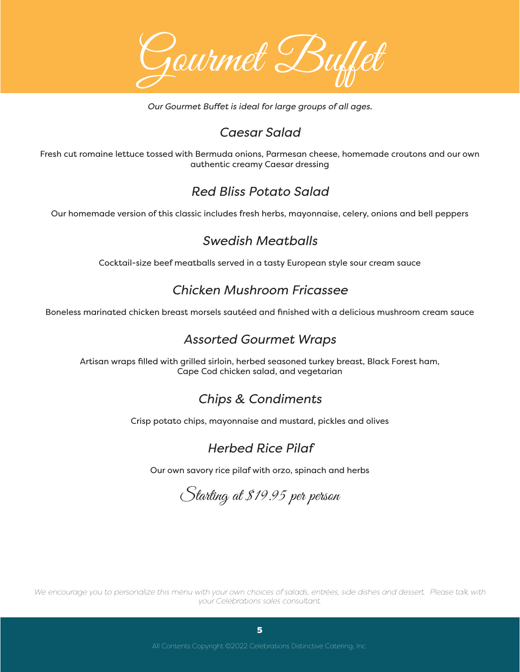Gourmet Buffet

*Our Gourmet Buffet is ideal for large groups of all ages.* 

## *Caesar Salad*

Fresh cut romaine lettuce tossed with Bermuda onions, Parmesan cheese, homemade croutons and our own authentic creamy Caesar dressing

## *Red Bliss Potato Salad*

Our homemade version of this classic includes fresh herbs, mayonnaise, celery, onions and bell peppers

#### *Swedish Meatballs*

Cocktail-size beef meatballs served in a tasty European style sour cream sauce

## *Chicken Mushroom Fricassee*

Boneless marinated chicken breast morsels sautéed and finished with a delicious mushroom cream sauce

## *Assorted Gourmet Wraps*

Artisan wraps filled with grilled sirloin, herbed seasoned turkey breast, Black Forest ham, Cape Cod chicken salad, and vegetarian

## *Chips & Condiments*

Crisp potato chips, mayonnaise and mustard, pickles and olives

## *Herbed Rice Pilaf*

Our own savory rice pilaf with orzo, spinach and herbs

Starting at \$19.95 per person

*We encourage you to personalize this menu with your own choices of salads, entrées, side dishes and dessert. Please talk with your Celebrations sales consultant.*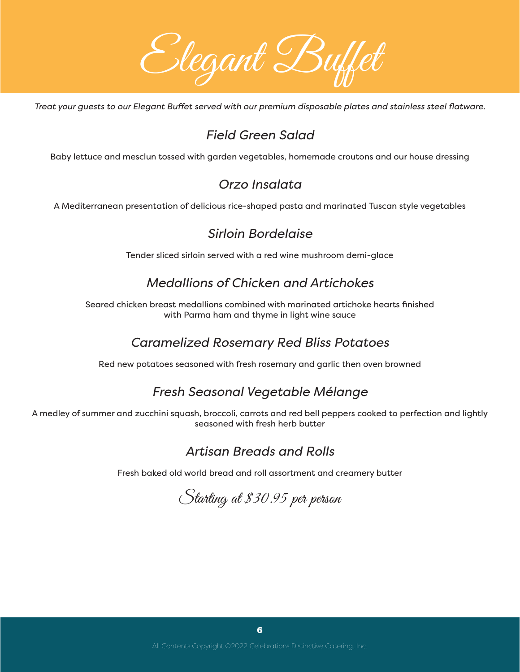

*Treat your guests to our Elegant Buffet served with our premium disposable plates and stainless steel flatware.* 

## *Field Green Salad*

Baby lettuce and mesclun tossed with garden vegetables, homemade croutons and our house dressing

## *Orzo Insalata*

A Mediterranean presentation of delicious rice-shaped pasta and marinated Tuscan style vegetables

## *Sirloin Bordelaise*

Tender sliced sirloin served with a red wine mushroom demi-glace

## *Medallions of Chicken and Artichokes*

Seared chicken breast medallions combined with marinated artichoke hearts finished with Parma ham and thyme in light wine sauce

## *Caramelized Rosemary Red Bliss Potatoes*

Red new potatoes seasoned with fresh rosemary and garlic then oven browned

## *Fresh Seasonal Vegetable Mélange*

A medley of summer and zucchini squash, broccoli, carrots and red bell peppers cooked to perfection and lightly seasoned with fresh herb butter

## *Artisan Breads and Rolls*

Fresh baked old world bread and roll assortment and creamery butter

Starting at \$30.95 per person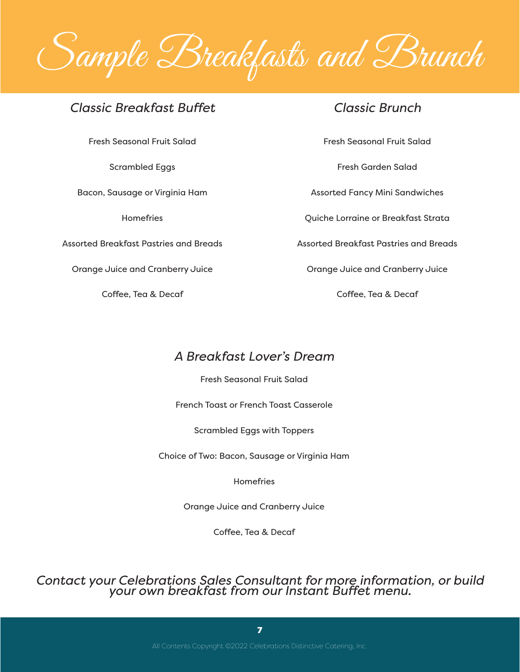

#### *Classic Breakfast Buffet*

Fresh Seasonal Fruit Salad

Scrambled Eggs

Bacon, Sausage or Virginia Ham

**Homefries** 

Assorted Breakfast Pastries and Breads

Orange Juice and Cranberry Juice

Coffee, Tea & Decaf

#### *Classic Brunch*

Fresh Seasonal Fruit Salad

Fresh Garden Salad

Assorted Fancy Mini Sandwiches

Quiche Lorraine or Breakfast Strata

Assorted Breakfast Pastries and Breads

Orange Juice and Cranberry Juice

Coffee, Tea & Decaf

## *A Breakfast Lover's Dream*

Fresh Seasonal Fruit Salad

French Toast or French Toast Casserole

Scrambled Eggs with Toppers

Choice of Two: Bacon, Sausage or Virginia Ham

Homefries

Orange Juice and Cranberry Juice

Coffee, Tea & Decaf

*Contact your Celebrations Sales Consultant for more information, or build your own breakfast from our Instant Buffet menu.*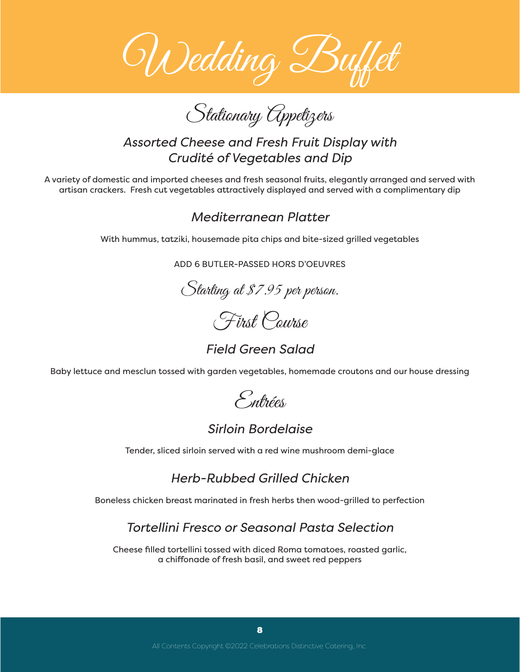

Stationary Appetizers

## *Assorted Cheese and Fresh Fruit Display with Crudité of Vegetables and Dip*

A variety of domestic and imported cheeses and fresh seasonal fruits, elegantly arranged and served with artisan crackers. Fresh cut vegetables attractively displayed and served with a complimentary dip

#### *Mediterranean Platter*

With hummus, tatziki, housemade pita chips and bite-sized grilled vegetables

ADD 6 BUTLER-PASSED HORS D'OEUVRES

Starting at \$7.95 per person.



*Field Green Salad* 

Baby lettuce and mesclun tossed with garden vegetables, homemade croutons and our house dressing



#### *Sirloin Bordelaise*

Tender, sliced sirloin served with a red wine mushroom demi-glace

*Herb-Rubbed Grilled Chicken* 

Boneless chicken breast marinated in fresh herbs then wood-grilled to perfection

## *Tortellini Fresco or Seasonal Pasta Selection*

Cheese filled tortellini tossed with diced Roma tomatoes, roasted garlic, a chiffonade of fresh basil, and sweet red peppers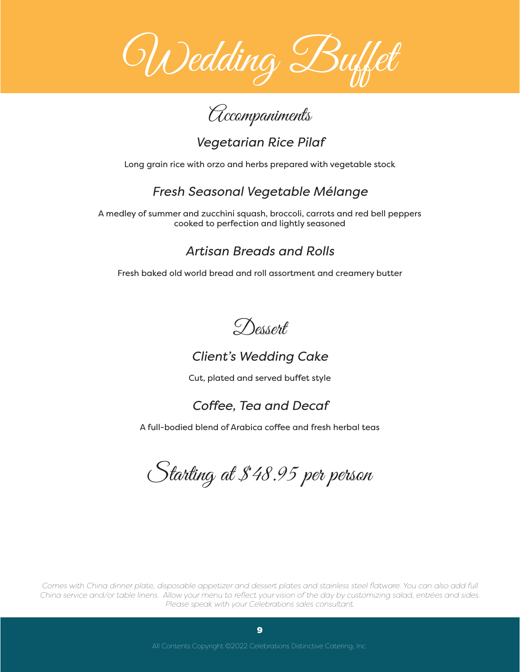

Accompaniments

*Vegetarian Rice Pilaf*

Long grain rice with orzo and herbs prepared with vegetable stock

## *Fresh Seasonal Vegetable Mélange*

A medley of summer and zucchini squash, broccoli, carrots and red bell peppers cooked to perfection and lightly seasoned

## *Artisan Breads and Rolls*

Fresh baked old world bread and roll assortment and creamery butter



## *Client's Wedding Cake*

Cut, plated and served buffet style

## *Coffee, Tea and Decaf*

A full-bodied blend of Arabica coffee and fresh herbal teas

Starting at \$48.95 per person

*Comes with China dinner plate, disposable appetizer and dessert plates and stainless steel flatware. You can also add full China service and/or table linens. Allow your menu to reflect your vision of the day by customizing salad, entrées and sides. Please speak with your Celebrations sales consultant.*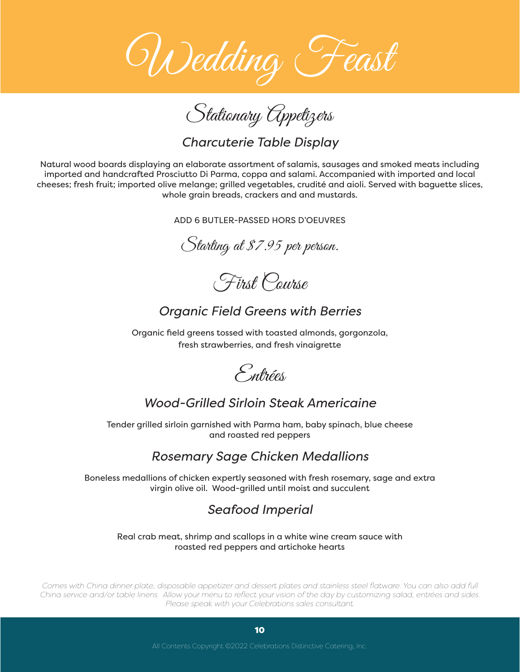

Stationary Appetizers

*Charcuterie Table Display*

Natural wood boards displaying an elaborate assortment of salamis, sausages and smoked meats including imported and handcrafted Prosciutto Di Parma, coppa and salami. Accompanied with imported and local cheeses; fresh fruit; imported olive melange; grilled vegetables, crudité and aioli. Served with baguette slices, whole grain breads, crackers and and mustards.

ADD 6 BUTLER-PASSED HORS D'OEUVRES

Starting at \$7.95 per person.

First Course

## *Organic Field Greens with Berries*

Organic field greens tossed with toasted almonds, gorgonzola, fresh strawberries, and fresh vinaigrette



## *Wood-Grilled Sirloin Steak Americaine*

Tender grilled sirloin garnished with Parma ham, baby spinach, blue cheese and roasted red peppers

## *Rosemary Sage Chicken Medallions*

Boneless medallions of chicken expertly seasoned with fresh rosemary, sage and extra virgin olive oil. Wood-grilled until moist and succulent

## *Seafood Imperial*

#### Real crab meat, shrimp and scallops in a white wine cream sauce with roasted red peppers and artichoke hearts

*Comes with China dinner plate, disposable appetizer and dessert plates and stainless steel flatware. You can also add full China service and/or table linens. Allow your menu to reflect your vision of the day by customizing salad, entrées and sides. Please speak with your Celebrations sales consultant.*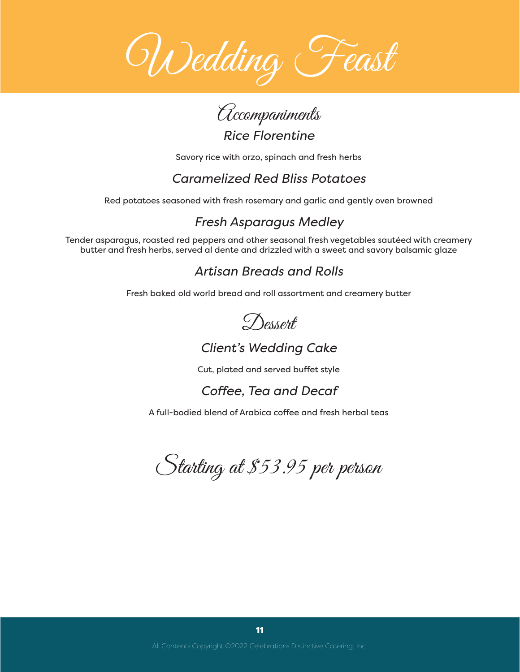



Savory rice with orzo, spinach and fresh herbs

## *Caramelized Red Bliss Potatoes*

Red potatoes seasoned with fresh rosemary and garlic and gently oven browned

## *Fresh Asparagus Medley*

Tender asparagus, roasted red peppers and other seasonal fresh vegetables sautéed with creamery butter and fresh herbs, served al dente and drizzled with a sweet and savory balsamic glaze

## *Artisan Breads and Rolls*

Fresh baked old world bread and roll assortment and creamery butter



## *Client's Wedding Cake*

Cut, plated and served buffet style

## *Coffee, Tea and Decaf*

A full-bodied blend of Arabica coffee and fresh herbal teas

Starting at \$53.95 per person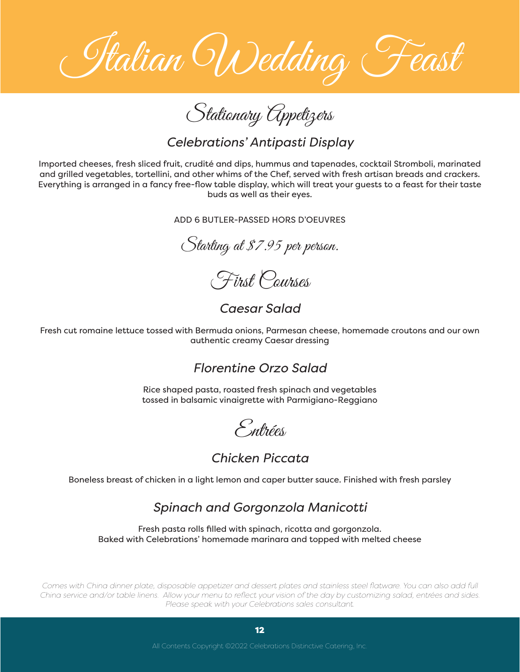Italian Wedding Feast

Stationary Appetizers

*Celebrations' Antipasti Display*

Imported cheeses, fresh sliced fruit, crudité and dips, hummus and tapenades, cocktail Stromboli, marinated and grilled vegetables, tortellini, and other whims of the Chef, served with fresh artisan breads and crackers. Everything is arranged in a fancy free-flow table display, which will treat your guests to a feast for their taste buds as well as their eyes.

ADD 6 BUTLER-PASSED HORS D'OEUVRES

Starting at \$7.95 per person.

First Courses

*Caesar Salad*

Fresh cut romaine lettuce tossed with Bermuda onions, Parmesan cheese, homemade croutons and our own authentic creamy Caesar dressing

#### *Florentine Orzo Salad*

Rice shaped pasta, roasted fresh spinach and vegetables tossed in balsamic vinaigrette with Parmigiano-Reggiano

Entrées

#### *Chicken Piccata*

Boneless breast of chicken in a light lemon and caper butter sauce. Finished with fresh parsley

#### *Spinach and Gorgonzola Manicotti*

Fresh pasta rolls filled with spinach, ricotta and gorgonzola. Baked with Celebrations' homemade marinara and topped with melted cheese

*Comes with China dinner plate, disposable appetizer and dessert plates and stainless steel flatware. You can also add full China service and/or table linens. Allow your menu to reflect your vision of the day by customizing salad, entrées and sides. Please speak with your Celebrations sales consultant.*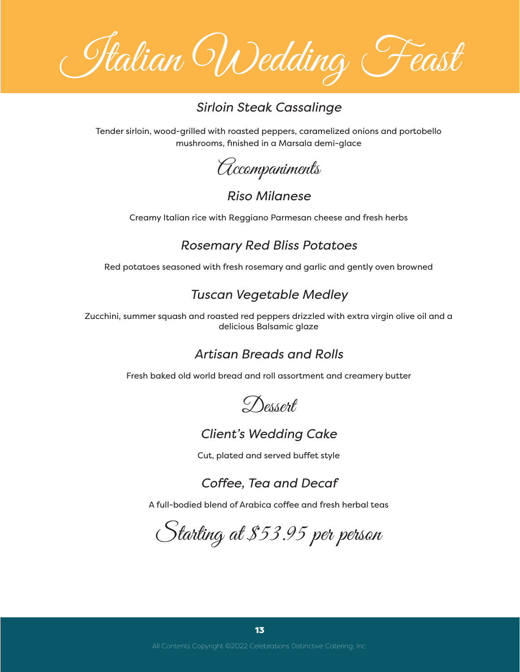Italian Wedding Feast

#### *Sirloin Steak Cassalinge*

Tender sirloin, wood-grilled with roasted peppers, caramelized onions and portobello mushrooms, finished in a Marsala demi-glace

Accompaniments

#### *Riso Milanese*

Creamy Italian rice with Reggiano Parmesan cheese and fresh herbs

#### *Rosemary Red Bliss Potatoes*

Red potatoes seasoned with fresh rosemary and garlic and gently oven browned

#### *Tuscan Vegetable Medley*

Zucchini, summer squash and roasted red peppers drizzled with extra virgin olive oil and a delicious Balsamic glaze

#### *Artisan Breads and Rolls*

Fresh baked old world bread and roll assortment and creamery butter



#### *Client's Wedding Cake*

Cut, plated and served buffet style

*Coffee, Tea and Decaf*

A full-bodied blend of Arabica coffee and fresh herbal teas

Starting at \$53.95 per person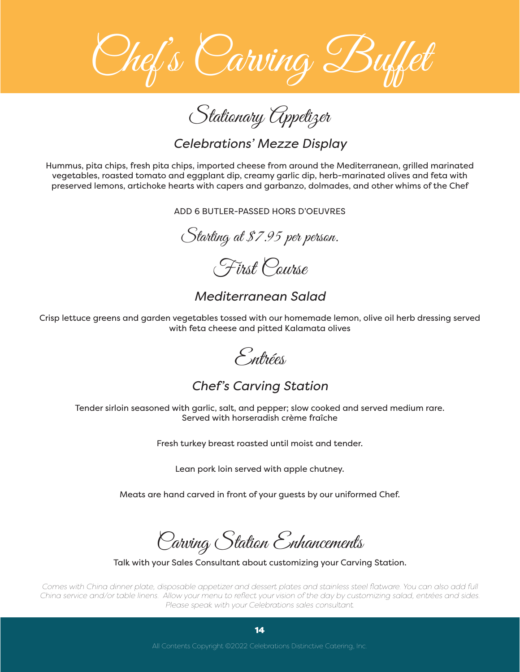

Stationary Appetizer

#### *Celebrations' Mezze Display*

Hummus, pita chips, fresh pita chips, imported cheese from around the Mediterranean, grilled marinated vegetables, roasted tomato and eggplant dip, creamy garlic dip, herb-marinated olives and feta with preserved lemons, artichoke hearts with capers and garbanzo, dolmades, and other whims of the Chef

ADD 6 BUTLER-PASSED HORS D'OEUVRES

Starting at \$7.95 per person.

First Course

*Mediterranean Salad*

Crisp lettuce greens and garden vegetables tossed with our homemade lemon, olive oil herb dressing served with feta cheese and pitted Kalamata olives

Entrées

*Chef's Carving Station*

Tender sirloin seasoned with garlic, salt, and pepper; slow cooked and served medium rare. Served with horseradish crème fraîche

Fresh turkey breast roasted until moist and tender.

Lean pork loin served with apple chutney.

Meats are hand carved in front of your guests by our uniformed Chef.

Carving Station Enhancements

Talk with your Sales Consultant about customizing your Carving Station.

*Comes with China dinner plate, disposable appetizer and dessert plates and stainless steel flatware. You can also add full China service and/or table linens. Allow your menu to reflect your vision of the day by customizing salad, entrées and sides. Please speak with your Celebrations sales consultant.*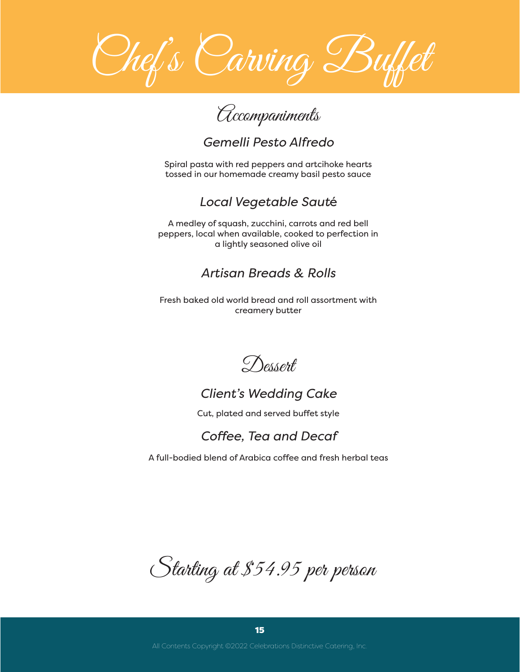

# Accompaniments

## *Gemelli Pesto Alfredo*

Spiral pasta with red peppers and artcihoke hearts tossed in our homemade creamy basil pesto sauce

## *Local Vegetable Saut*é

A medley of squash, zucchini, carrots and red bell peppers, local when available, cooked to perfection in a lightly seasoned olive oil

## *Artisan Breads & Rolls*

Fresh baked old world bread and roll assortment with creamery butter

Dessert

## *Client's Wedding Cake*

Cut, plated and served buffet style

## *Coffee, Tea and Decaf*

A full-bodied blend of Arabica coffee and fresh herbal teas

Starting at \$54.95 per person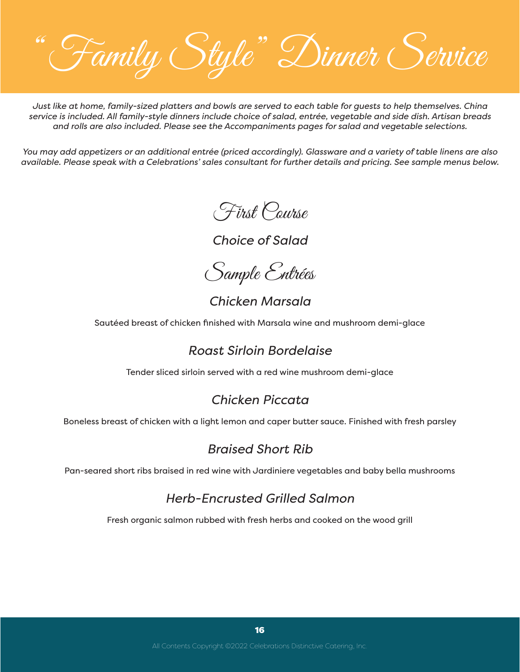"Family Style" Dinner Service

*Just like at home, family-sized platters and bowls are served to each table for guests to help themselves. China service is included. All family-style dinners include choice of salad, entrée, vegetable and side dish. Artisan breads and rolls are also included. Please see the Accompaniments pages for salad and vegetable selections.* 

*You may add appetizers or an additional entrée (priced accordingly). Glassware and a variety of table linens are also available. Please speak with a Celebrations' sales consultant for further details and pricing. See sample menus below.*

First Course

*Choice of Salad* 

Sample Entrées

*Chicken Marsala*

Sautéed breast of chicken finished with Marsala wine and mushroom demi-glace

#### *Roast Sirloin Bordelaise*

Tender sliced sirloin served with a red wine mushroom demi-glace

## *Chicken Piccata*

Boneless breast of chicken with a light lemon and caper butter sauce. Finished with fresh parsley

## *Braised Short Rib*

Pan-seared short ribs braised in red wine with Jardiniere vegetables and baby bella mushrooms

## *Herb-Encrusted Grilled Salmon*

Fresh organic salmon rubbed with fresh herbs and cooked on the wood grill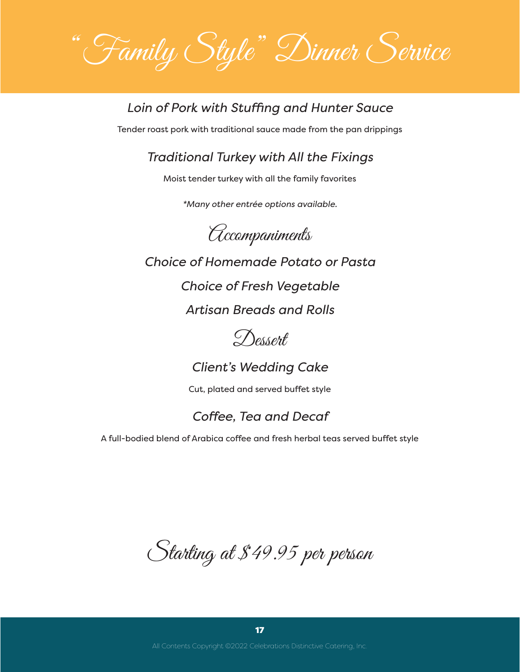"Family Style" Dinner Service

#### *Loin of Pork with Stuffing and Hunter Sauce*

Tender roast pork with traditional sauce made from the pan drippings

#### *Traditional Turkey with All the Fixings*

Moist tender turkey with all the family favorites

*\*Many other entrée options available.*

Accompaniments

*Choice of Homemade Potato or Pasta*

*Choice of Fresh Vegetable*

*Artisan Breads and Rolls* 



*Client's Wedding Cake*

Cut, plated and served buffet style

## *Coffee, Tea and Decaf*

A full-bodied blend of Arabica coffee and fresh herbal teas served buffet style

Starting at \$49.95 per person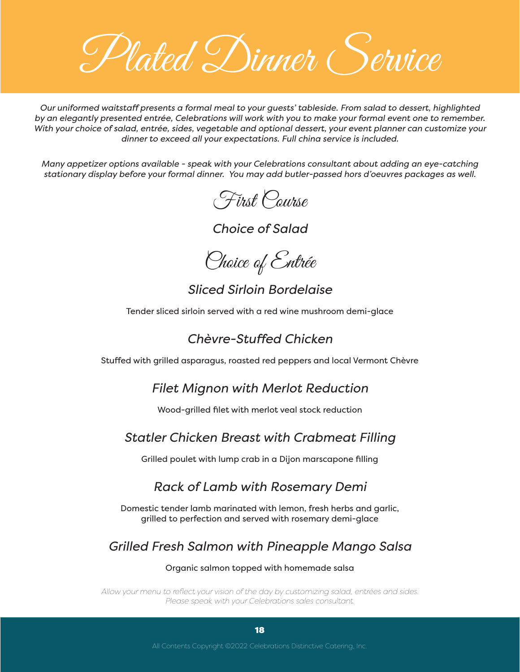Plated Dinner (Service

*Our uniformed waitstaff presents a formal meal to your guests' tableside. From salad to dessert, highlighted by an elegantly presented entrée, Celebrations will work with you to make your formal event one to remember. With your choice of salad, entrée, sides, vegetable and optional dessert, your event planner can customize your dinner to exceed all your expectations. Full china service is included.*

*Many appetizer options available - speak with your Celebrations consultant about adding an eye-catching stationary display before your formal dinner. You may add butler-passed hors d'oeuvres packages as well.*

First Course

*Choice of Salad*

Choice of Entrée

#### *Sliced Sirloin Bordelaise*

Tender sliced sirloin served with a red wine mushroom demi-glace

## *Chèvre-Stuffed Chicken*

Stuffed with grilled asparagus, roasted red peppers and local Vermont Chèvre

*Filet Mignon with Merlot Reduction* 

Wood-grilled filet with merlot veal stock reduction

#### *Statler Chicken Breast with Crabmeat Filling*

Grilled poulet with lump crab in a Dijon marscapone filling

## *Rack of Lamb with Rosemary Demi*

Domestic tender lamb marinated with lemon, fresh herbs and garlic, grilled to perfection and served with rosemary demi-glace

## *Grilled Fresh Salmon with Pineapple Mango Salsa*

#### Organic salmon topped with homemade salsa

*Allow your menu to reflect your vision of the day by customizing salad, entrées and sides. Please speak with your Celebrations sales consultant.*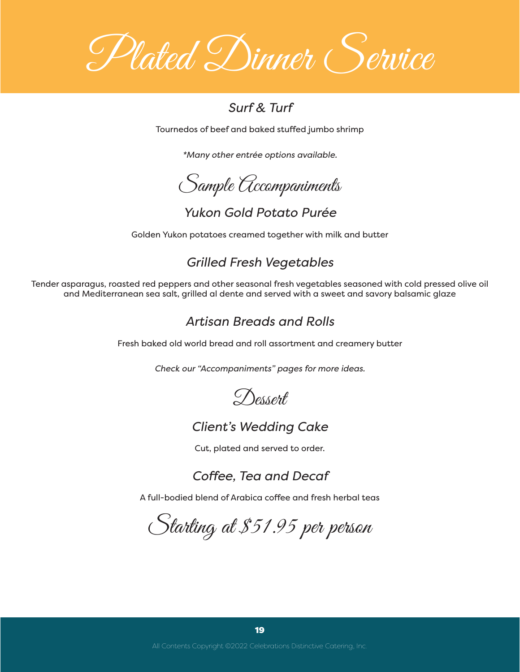Plated Dinner (Service

#### *Surf & Turf*

Tournedos of beef and baked stuffed jumbo shrimp

*\*Many other entrée options available.*

Sample Accompaniments

*Yukon Gold Potato Purée* 

Golden Yukon potatoes creamed together with milk and butter

## *Grilled Fresh Vegetables*

Tender asparagus, roasted red peppers and other seasonal fresh vegetables seasoned with cold pressed olive oil and Mediterranean sea salt, grilled al dente and served with a sweet and savory balsamic glaze

## *Artisan Breads and Rolls*

Fresh baked old world bread and roll assortment and creamery butter

*Check our "Accompaniments" pages for more ideas.*



#### *Client's Wedding Cake*

Cut, plated and served to order.

*Coffee, Tea and Decaf*

A full-bodied blend of Arabica coffee and fresh herbal teas

Starting at \$51.95 per person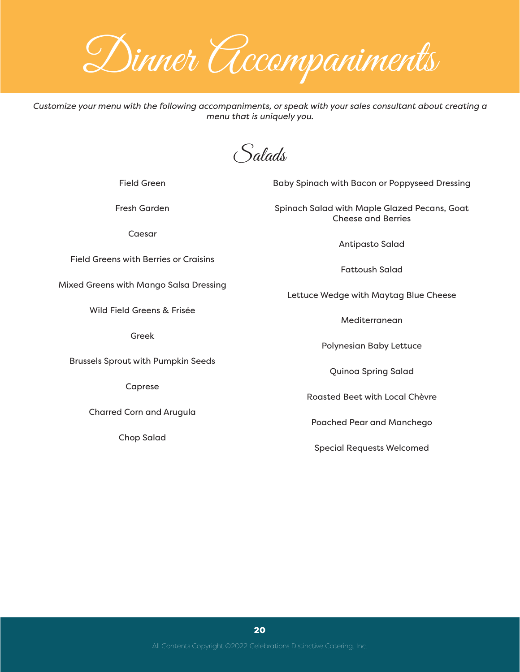Dinner Accompaniments

*Customize your menu with the following accompaniments, or speak with your sales consultant about creating a menu that is uniquely you.* 

Salads

Field Green

Fresh Garden

Caesar

Field Greens with Berries or Craisins

Mixed Greens with Mango Salsa Dressing

Wild Field Greens & Frisée

Greek

Brussels Sprout with Pumpkin Seeds

Caprese

Charred Corn and Arugula

Chop Salad

Baby Spinach with Bacon or Poppyseed Dressing

Spinach Salad with Maple Glazed Pecans, Goat Cheese and Berries

Antipasto Salad

Fattoush Salad

Lettuce Wedge with Maytag Blue Cheese

Mediterranean

Polynesian Baby Lettuce

Quinoa Spring Salad

Roasted Beet with Local Chèvre

Poached Pear and Manchego

Special Requests Welcomed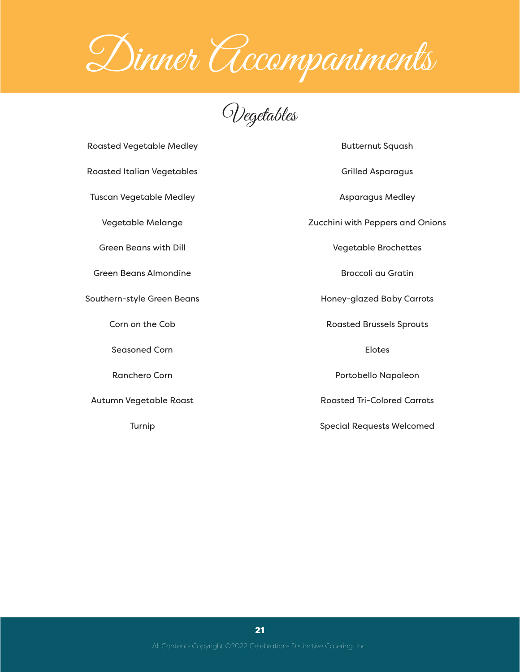Dinner Accompaniments

Vegetables

Roasted Vegetable Medley

Roasted Italian Vegetables

Tuscan Vegetable Medley

Vegetable Melange

Green Beans with Dill

Green Beans Almondine

Southern-style Green Beans

Corn on the Cob

Seasoned Corn

Ranchero Corn

Autumn Vegetable Roast

Turnip

Grilled Asparagus Asparagus Medley

Butternut Squash

Zucchini with Peppers and Onions

Vegetable Brochettes

Broccoli au Gratin

Honey-glazed Baby Carrots

Roasted Brussels Sprouts

Elotes

Portobello Napoleon

Roasted Tri-Colored Carrots

Special Requests Welcomed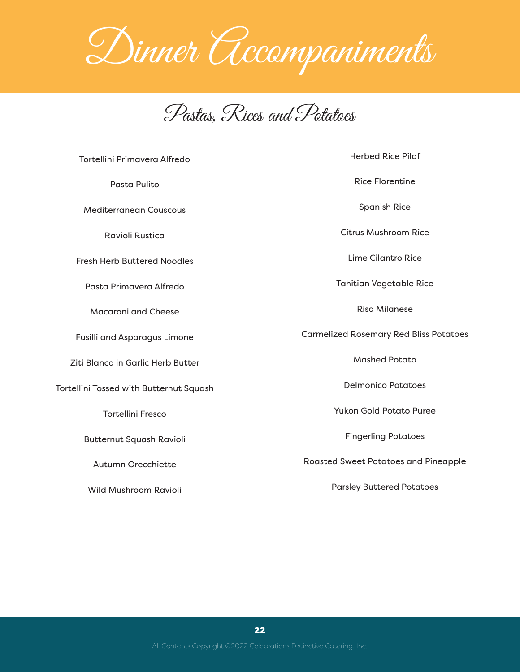

Pastas, Rices and Potatoes

| Tortellini Primavera Alfredo            | <b>Herbed Rice Pilaf</b>                      |
|-----------------------------------------|-----------------------------------------------|
| Pasta Pulito                            | <b>Rice Florentine</b>                        |
| <b>Mediterranean Couscous</b>           | <b>Spanish Rice</b>                           |
| <b>Ravioli Rustica</b>                  | <b>Citrus Mushroom Rice</b>                   |
| <b>Fresh Herb Buttered Noodles</b>      | Lime Cilantro Rice                            |
| Pasta Primavera Alfredo                 | <b>Tahitian Vegetable Rice</b>                |
| <b>Macaroni and Cheese</b>              | <b>Riso Milanese</b>                          |
| <b>Fusilli and Asparagus Limone</b>     | <b>Carmelized Rosemary Red Bliss Potatoes</b> |
| Ziti Blanco in Garlic Herb Butter       | <b>Mashed Potato</b>                          |
| Tortellini Tossed with Butternut Squash | <b>Delmonico Potatoes</b>                     |
| <b>Tortellini Fresco</b>                | Yukon Gold Potato Puree                       |
| <b>Butternut Squash Ravioli</b>         | <b>Fingerling Potatoes</b>                    |
| <b>Autumn Orecchiette</b>               | <b>Roasted Sweet Potatoes and Pineapple</b>   |
| <b>Wild Mushroom Ravioli</b>            | <b>Parsley Buttered Potatoes</b>              |
|                                         |                                               |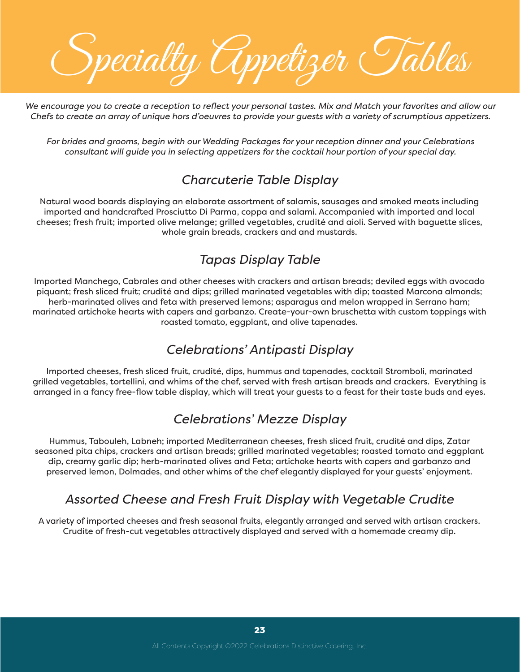Specialty Appetizer Tables

*We encourage you to create a reception to reflect your personal tastes. Mix and Match your favorites and allow our Chefs to create an array of unique hors d'oeuvres to provide your guests with a variety of scrumptious appetizers.*

*For brides and grooms, begin with our Wedding Packages for your reception dinner and your Celebrations consultant will guide you in selecting appetizers for the cocktail hour portion of your special day.* 

## *Charcuterie Table Display*

Natural wood boards displaying an elaborate assortment of salamis, sausages and smoked meats including imported and handcrafted Prosciutto Di Parma, coppa and salami. Accompanied with imported and local cheeses; fresh fruit; imported olive melange; grilled vegetables, crudité and aioli. Served with baguette slices, whole grain breads, crackers and and mustards.

## *Tapas Display Table*

Imported Manchego, Cabrales and other cheeses with crackers and artisan breads; deviled eggs with avocado piquant; fresh sliced fruit; crudité and dips; grilled marinated vegetables with dip; toasted Marcona almonds; herb-marinated olives and feta with preserved lemons; asparagus and melon wrapped in Serrano ham; marinated artichoke hearts with capers and garbanzo. Create-your-own bruschetta with custom toppings with roasted tomato, eggplant, and olive tapenades.

#### *Celebrations' Antipasti Display*

Imported cheeses, fresh sliced fruit, crudité, dips, hummus and tapenades, cocktail Stromboli, marinated grilled vegetables, tortellini, and whims of the chef, served with fresh artisan breads and crackers. Everything is arranged in a fancy free-flow table display, which will treat your guests to a feast for their taste buds and eyes.

## *Celebrations' Mezze Display*

Hummus, Tabouleh, Labneh; imported Mediterranean cheeses, fresh sliced fruit, crudité and dips, Zatar seasoned pita chips, crackers and artisan breads; grilled marinated vegetables; roasted tomato and eggplant dip, creamy garlic dip; herb-marinated olives and Feta; artichoke hearts with capers and garbanzo and preserved lemon, Dolmades, and other whims of the chef elegantly displayed for your guests' enjoyment.

#### *Assorted Cheese and Fresh Fruit Display with Vegetable Crudite*

A variety of imported cheeses and fresh seasonal fruits, elegantly arranged and served with artisan crackers. Crudite of fresh-cut vegetables attractively displayed and served with a homemade creamy dip.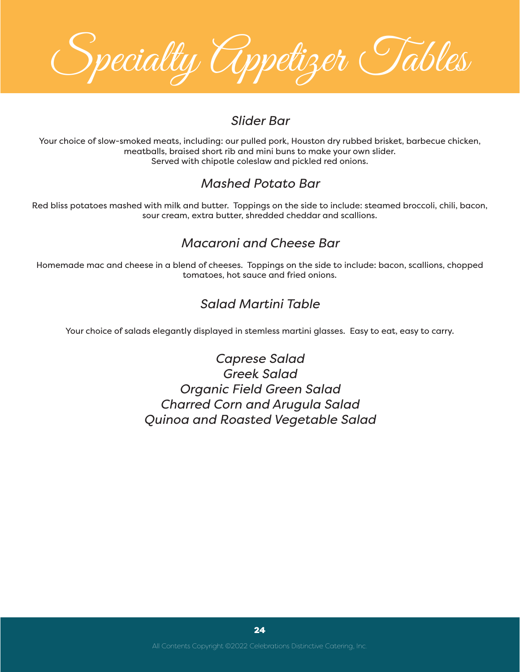Specialty Appetizer Tables

#### *Slider Bar*

Your choice of slow-smoked meats, including: our pulled pork, Houston dry rubbed brisket, barbecue chicken, meatballs, braised short rib and mini buns to make your own slider. Served with chipotle coleslaw and pickled red onions.

## *Mashed Potato Bar*

Red bliss potatoes mashed with milk and butter. Toppings on the side to include: steamed broccoli, chili, bacon, sour cream, extra butter, shredded cheddar and scallions.

## *Macaroni and Cheese Bar*

Homemade mac and cheese in a blend of cheeses. Toppings on the side to include: bacon, scallions, chopped tomatoes, hot sauce and fried onions.

## *Salad Martini Table*

Your choice of salads elegantly displayed in stemless martini glasses. Easy to eat, easy to carry.

*Caprese Salad Greek Salad Organic Field Green Salad Charred Corn and Arugula Salad Quinoa and Roasted Vegetable Salad*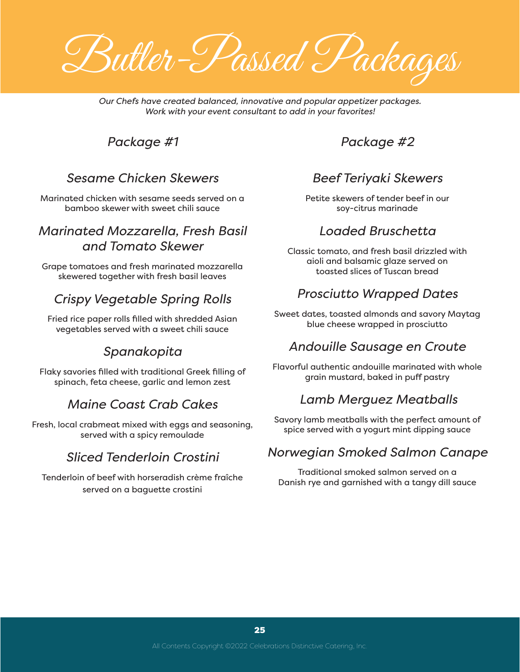Butler-Passed Packages

*Our Chefs have created balanced, innovative and popular appetizer packages. Work with your event consultant to add in your favorites!*

#### *Package #1*

#### *Sesame Chicken Skewers*

Marinated chicken with sesame seeds served on a bamboo skewer with sweet chili sauce

#### *Marinated Mozzarella, Fresh Basil and Tomato Skewer*

Grape tomatoes and fresh marinated mozzarella skewered together with fresh basil leaves

## *Crispy Vegetable Spring Rolls*

Fried rice paper rolls filled with shredded Asian vegetables served with a sweet chili sauce

#### *Spanakopita*

Flaky savories filled with traditional Greek filling of spinach, feta cheese, garlic and lemon zest

#### *Maine Coast Crab Cakes*

Fresh, local crabmeat mixed with eggs and seasoning, served with a spicy remoulade

#### *Sliced Tenderloin Crostini*

Tenderloin of beef with horseradish crème fraîche served on a baguette crostini

*Package #2*

#### *Beef Teriyaki Skewers*

Petite skewers of tender beef in our soy-citrus marinade

#### *Loaded Bruschetta*

Classic tomato, and fresh basil drizzled with aioli and balsamic glaze served on toasted slices of Tuscan bread

#### *Prosciutto Wrapped Dates*

Sweet dates, toasted almonds and savory Maytag blue cheese wrapped in prosciutto

#### *Andouille Sausage en Croute*

Flavorful authentic andouille marinated with whole grain mustard, baked in puff pastry

#### *Lamb Merguez Meatballs*

Savory lamb meatballs with the perfect amount of spice served with a yogurt mint dipping sauce

#### *Norwegian Smoked Salmon Canape*

Traditional smoked salmon served on a Danish rye and garnished with a tangy dill sauce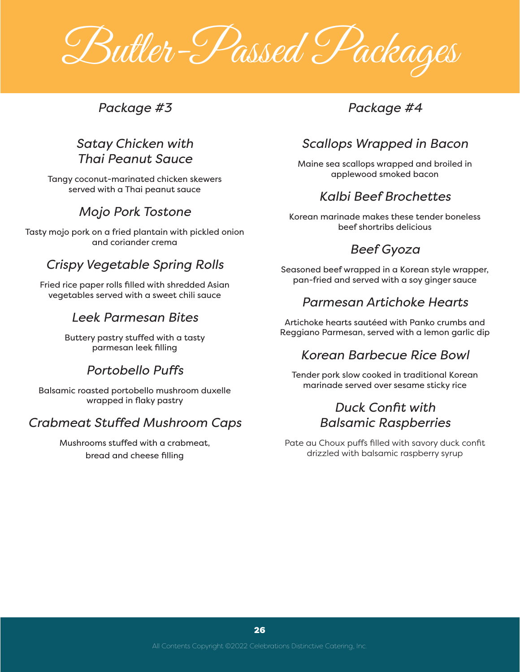Butler-Passed Packages

*Package #3*

## *Satay Chicken with Thai Peanut Sauce*

Tangy coconut-marinated chicken skewers served with a Thai peanut sauce

## *Mojo Pork Tostone*

Tasty mojo pork on a fried plantain with pickled onion and coriander crema

## *Crispy Vegetable Spring Rolls*

Fried rice paper rolls filled with shredded Asian vegetables served with a sweet chili sauce

#### *Leek Parmesan Bites*

Buttery pastry stuffed with a tasty parmesan leek filling

## *Portobello Puffs*

Balsamic roasted portobello mushroom duxelle wrapped in flaky pastry

## *Crabmeat Stuffed Mushroom Caps*

Mushrooms stuffed with a crabmeat, bread and cheese filling

## *Package #4*

## *Scallops Wrapped in Bacon*

Maine sea scallops wrapped and broiled in applewood smoked bacon

## *Kalbi Beef Brochettes*

Korean marinade makes these tender boneless beef shortribs delicious

## *Beef Gyoza*

Seasoned beef wrapped in a Korean style wrapper, pan-fried and served with a soy ginger sauce

#### *Parmesan Artichoke Hearts*

Artichoke hearts sautéed with Panko crumbs and Reggiano Parmesan, served with a lemon garlic dip

## *Korean Barbecue Rice Bowl*

Tender pork slow cooked in traditional Korean marinade served over sesame sticky rice

#### *Duck Confit with Balsamic Raspberries*

Pate au Choux puffs filled with savory duck confit drizzled with balsamic raspberry syrup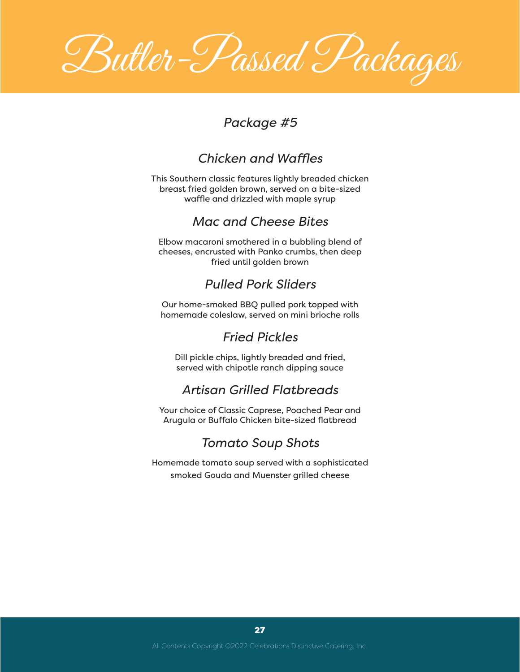Butler-Passed Packages

## *Package #5*

## *Chicken and Waffles*

This Southern classic features lightly breaded chicken breast fried golden brown, served on a bite-sized waffle and drizzled with maple syrup

#### *Mac and Cheese Bites*

Elbow macaroni smothered in a bubbling blend of cheeses, encrusted with Panko crumbs, then deep fried until golden brown

## *Pulled Pork Sliders*

Our home-smoked BBQ pulled pork topped with homemade coleslaw, served on mini brioche rolls

#### *Fried Pickles*

Dill pickle chips, lightly breaded and fried, served with chipotle ranch dipping sauce

## *Artisan Grilled Flatbreads*

Your choice of Classic Caprese, Poached Pear and Arugula or Buffalo Chicken bite-sized flatbread

## *Tomato Soup Shots*

Homemade tomato soup served with a sophisticated smoked Gouda and Muenster grilled cheese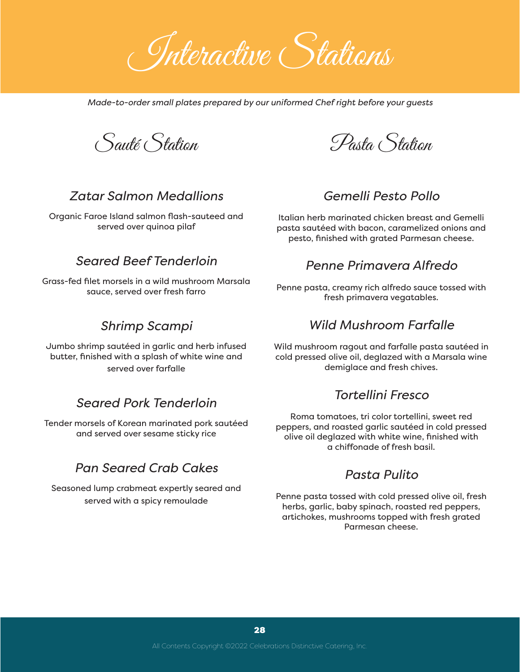Interactive Stations

*Made-to-order small plates prepared by our uniformed Chef right before your guests*

Sauté Station

#### *Zatar Salmon Medallions*

Organic Faroe Island salmon flash-sauteed and served over quinoa pilaf

#### *Seared Beef Tenderloin*

Grass-fed filet morsels in a wild mushroom Marsala sauce, served over fresh farro

#### *Shrimp Scampi*

Jumbo shrimp sautéed in garlic and herb infused butter, finished with a splash of white wine and served over farfalle

#### *Seared Pork Tenderloin*

Tender morsels of Korean marinated pork sautéed and served over sesame sticky rice

#### *Pan Seared Crab Cakes*

Seasoned lump crabmeat expertly seared and served with a spicy remoulade

Pasta Station

#### *Gemelli Pesto Pollo*

Italian herb marinated chicken breast and Gemelli pasta sautéed with bacon, caramelized onions and pesto, finished with grated Parmesan cheese.

#### *Penne Primavera Alfredo*

Penne pasta, creamy rich alfredo sauce tossed with fresh primavera vegatables.

#### *Wild Mushroom Farfalle*

Wild mushroom ragout and farfalle pasta sautéed in cold pressed olive oil, deglazed with a Marsala wine demiglace and fresh chives.

#### *Tortellini Fresco*

Roma tomatoes, tri color tortellini, sweet red peppers, and roasted garlic sautéed in cold pressed olive oil deglazed with white wine, finished with a chiffonade of fresh basil.

#### *Pasta Pulito*

Penne pasta tossed with cold pressed olive oil, fresh herbs, garlic, baby spinach, roasted red peppers, artichokes, mushrooms topped with fresh grated Parmesan cheese.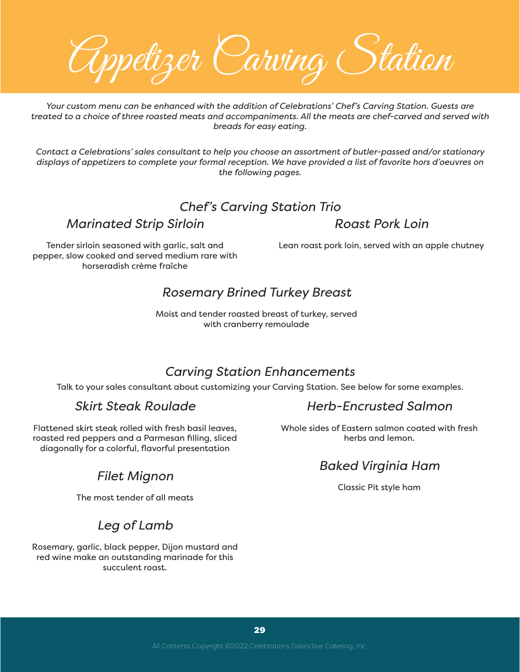Appetizer Carving Station

*Your custom menu can be enhanced with the addition of Celebrations' Chef's Carving Station. Guests are treated to a choice of three roasted meats and accompaniments. All the meats are chef-carved and served with breads for easy eating.* 

*Contact a Celebrations' sales consultant to help you choose an assortment of butler-passed and/or stationary displays of appetizers to complete your formal reception. We have provided a list of favorite hors d'oeuvres on the following pages.*

## *Chef's Carving Station Trio*

*Marinated Strip Sirloin*

*Roast Pork Loin*

Tender sirloin seasoned with garlic, salt and pepper, slow cooked and served medium rare with horseradish crème fraîche

Lean roast pork loin, served with an apple chutney

#### *Rosemary Brined Turkey Breast*

Moist and tender roasted breast of turkey, served with cranberry remoulade

## *Carving Station Enhancements*

Talk to your sales consultant about customizing your Carving Station. See below for some examples.

#### *Skirt Steak Roulade*

Flattened skirt steak rolled with fresh basil leaves, roasted red peppers and a Parmesan filling, sliced diagonally for a colorful, flavorful presentation

## *Filet Mignon*

The most tender of all meats

## *Leg of Lamb*

Rosemary, garlic, black pepper, Dijon mustard and red wine make an outstanding marinade for this succulent roast.

## *Herb-Encrusted Salmon*

Whole sides of Eastern salmon coated with fresh herbs and lemon.

## *Baked Virginia Ham*

Classic Pit style ham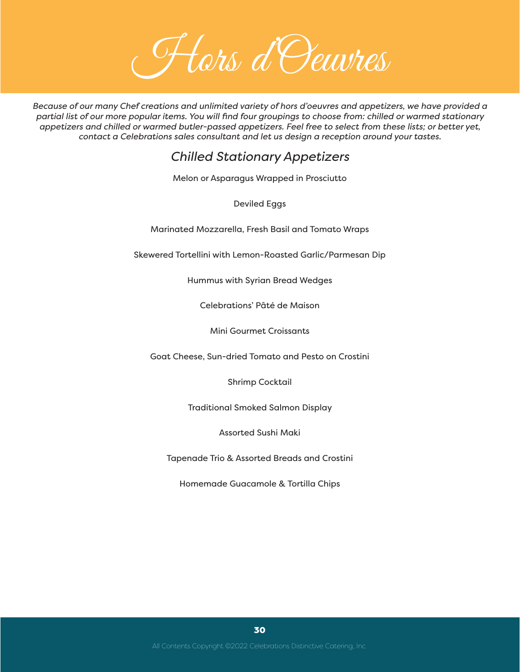Hors d'Oeuvres

*Because of our many Chef creations and unlimited variety of hors d'oeuvres and appetizers, we have provided a partial list of our more popular items. You will find four groupings to choose from: chilled or warmed stationary appetizers and chilled or warmed butler-passed appetizers. Feel free to select from these lists; or better yet, contact a Celebrations sales consultant and let us design a reception around your tastes.*

## *Chilled Stationary Appetizers*

Melon or Asparagus Wrapped in Prosciutto

Deviled Eggs

Marinated Mozzarella, Fresh Basil and Tomato Wraps

Skewered Tortellini with Lemon-Roasted Garlic/Parmesan Dip

Hummus with Syrian Bread Wedges

Celebrations' Pâté de Maison

Mini Gourmet Croissants

Goat Cheese, Sun-dried Tomato and Pesto on Crostini

Shrimp Cocktail

Traditional Smoked Salmon Display

Assorted Sushi Maki

Tapenade Trio & Assorted Breads and Crostini

Homemade Guacamole & Tortilla Chips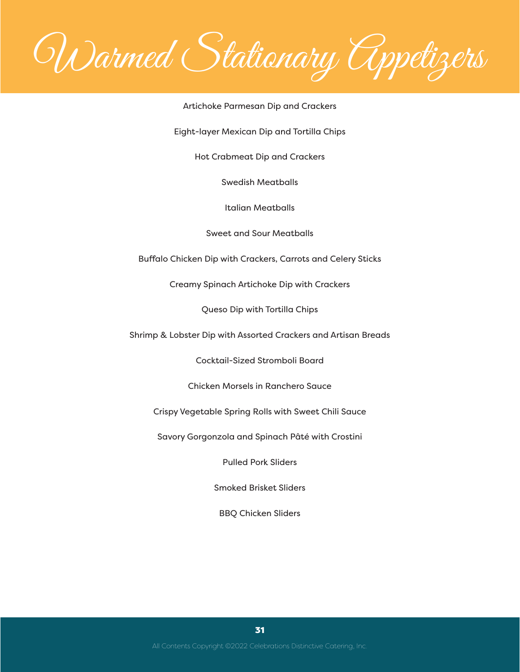Warmed Stationary Appetizers

#### Artichoke Parmesan Dip and Crackers

Eight-layer Mexican Dip and Tortilla Chips

Hot Crabmeat Dip and Crackers

Swedish Meatballs

Italian Meatballs

Sweet and Sour Meatballs

Buffalo Chicken Dip with Crackers, Carrots and Celery Sticks

Creamy Spinach Artichoke Dip with Crackers

Queso Dip with Tortilla Chips

Shrimp & Lobster Dip with Assorted Crackers and Artisan Breads

Cocktail-Sized Stromboli Board

Chicken Morsels in Ranchero Sauce

Crispy Vegetable Spring Rolls with Sweet Chili Sauce

Savory Gorgonzola and Spinach Pâté with Crostini

Pulled Pork Sliders

Smoked Brisket Sliders

BBQ Chicken Sliders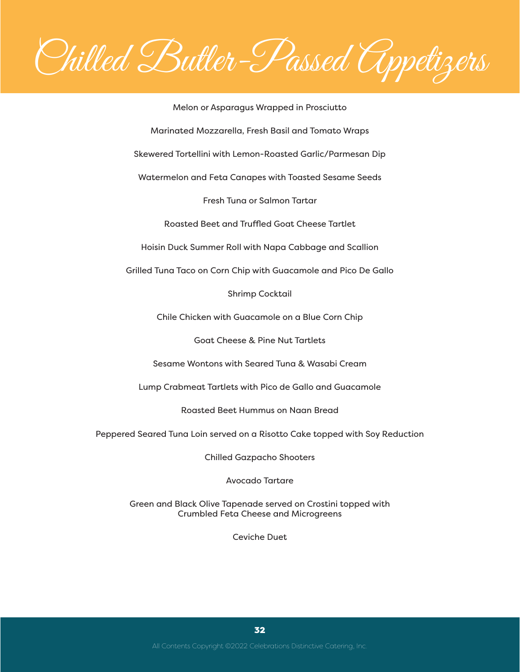Chilled Butler-Passed Appetizers

Melon or Asparagus Wrapped in Prosciutto Marinated Mozzarella, Fresh Basil and Tomato Wraps Skewered Tortellini with Lemon-Roasted Garlic/Parmesan Dip Watermelon and Feta Canapes with Toasted Sesame Seeds Fresh Tuna or Salmon Tartar Roasted Beet and Truffled Goat Cheese Tartlet Hoisin Duck Summer Roll with Napa Cabbage and Scallion Grilled Tuna Taco on Corn Chip with Guacamole and Pico De Gallo Shrimp Cocktail Chile Chicken with Guacamole on a Blue Corn Chip Goat Cheese & Pine Nut Tartlets Sesame Wontons with Seared Tuna & Wasabi Cream Lump Crabmeat Tartlets with Pico de Gallo and Guacamole Roasted Beet Hummus on Naan Bread Peppered Seared Tuna Loin served on a Risotto Cake topped with Soy Reduction Chilled Gazpacho Shooters

Avocado Tartare

Green and Black Olive Tapenade served on Crostini topped with Crumbled Feta Cheese and Microgreens

Ceviche Duet